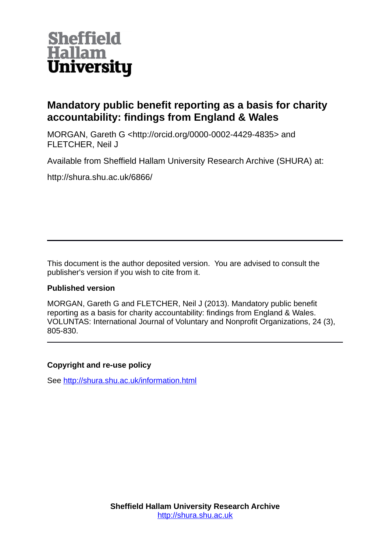

# **Mandatory public benefit reporting as a basis for charity accountability: findings from England & Wales**

MORGAN, Gareth G <http://orcid.org/0000-0002-4429-4835> and FLETCHER, Neil J

Available from Sheffield Hallam University Research Archive (SHURA) at:

http://shura.shu.ac.uk/6866/

This document is the author deposited version. You are advised to consult the publisher's version if you wish to cite from it.

# **Published version**

MORGAN, Gareth G and FLETCHER, Neil J (2013). Mandatory public benefit reporting as a basis for charity accountability: findings from England & Wales. VOLUNTAS: International Journal of Voluntary and Nonprofit Organizations, 24 (3), 805-830.

# **Copyright and re-use policy**

See<http://shura.shu.ac.uk/information.html>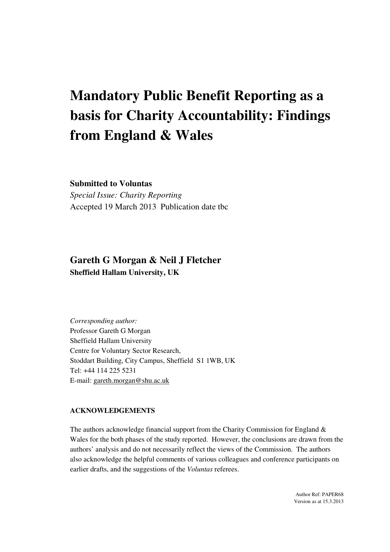# **Mandatory Public Benefit Reporting as a basis for Charity Accountability: Findings from England & Wales**

 **Submitted to Voluntas** 

 *Special Issue: Charity Reporting*  Accepted 19 March 2013 Publication date tbc

# **Gareth G Morgan & Neil J Fletcher Sheffield Hallam University, UK**

*Corresponding author:*  Professor Gareth G Morgan Sheffield Hallam University Centre for Voluntary Sector Research, Stoddart Building, City Campus, Sheffield S1 1WB, UK Tel: +44 114 225 5231 E-mail: gareth.morgan@shu.ac.uk

# **ACKNOWLEDGEMENTS**

The authors acknowledge financial support from the Charity Commission for England  $\&$ Wales for the both phases of the study reported. However, the conclusions are drawn from the authors' analysis and do not necessarily reflect the views of the Commission. The authors also acknowledge the helpful comments of various colleagues and conference participants on earlier drafts, and the suggestions of the *Voluntas* referees.

> Author Ref: PAPER68 Version as at 15.3.2013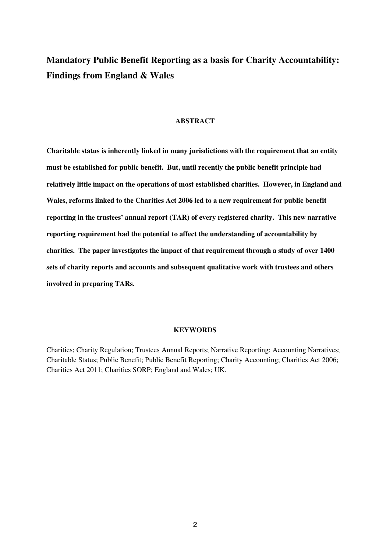# **Mandatory Public Benefit Reporting as a basis for Charity Accountability: Findings from England & Wales**

# **ABSTRACT**

**Charitable status is inherently linked in many jurisdictions with the requirement that an entity must be established for public benefit. But, until recently the public benefit principle had relatively little impact on the operations of most established charities. However, in England and Wales, reforms linked to the Charities Act 2006 led to a new requirement for public benefit reporting in the trustees' annual report (TAR) of every registered charity. This new narrative reporting requirement had the potential to affect the understanding of accountability by charities. The paper investigates the impact of that requirement through a study of over 1400 sets of charity reports and accounts and subsequent qualitative work with trustees and others involved in preparing TARs.** 

### **KEYWORDS**

Charities; Charity Regulation; Trustees Annual Reports; Narrative Reporting; Accounting Narratives; Charitable Status; Public Benefit; Public Benefit Reporting; Charity Accounting; Charities Act 2006; Charities Act 2011; Charities SORP; England and Wales; UK.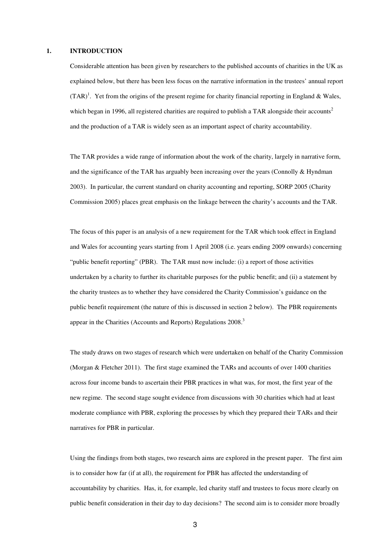#### **1. INTRODUCTION**

Considerable attention has been given by researchers to the published accounts of charities in the UK as explained below, but there has been less focus on the narrative information in the trustees' annual report  $(TAR)^1$ . Yet from the origins of the present regime for charity financial reporting in England & Wales, which began in 1996, all registered charities are required to publish a TAR alongside their accounts<sup>2</sup> and the production of a TAR is widely seen as an important aspect of charity accountability.

The TAR provides a wide range of information about the work of the charity, largely in narrative form, and the significance of the TAR has arguably been increasing over the years (Connolly  $&$  Hyndman 2003). In particular, the current standard on charity accounting and reporting, SORP 2005 (Charity Commission 2005) places great emphasis on the linkage between the charity's accounts and the TAR.

The focus of this paper is an analysis of a new requirement for the TAR which took effect in England and Wales for accounting years starting from 1 April 2008 (i.e. years ending 2009 onwards) concerning "public benefit reporting" (PBR). The TAR must now include: (i) a report of those activities undertaken by a charity to further its charitable purposes for the public benefit; and (ii) a statement by the charity trustees as to whether they have considered the Charity Commission's guidance on the public benefit requirement (the nature of this is discussed in section 2 below). The PBR requirements appear in the Charities (Accounts and Reports) Regulations 2008.<sup>3</sup>

The study draws on two stages of research which were undertaken on behalf of the Charity Commission (Morgan & Fletcher 2011). The first stage examined the TARs and accounts of over 1400 charities across four income bands to ascertain their PBR practices in what was, for most, the first year of the new regime. The second stage sought evidence from discussions with 30 charities which had at least moderate compliance with PBR, exploring the processes by which they prepared their TARs and their narratives for PBR in particular.

Using the findings from both stages, two research aims are explored in the present paper. The first aim is to consider how far (if at all), the requirement for PBR has affected the understanding of accountability by charities. Has, it, for example, led charity staff and trustees to focus more clearly on public benefit consideration in their day to day decisions? The second aim is to consider more broadly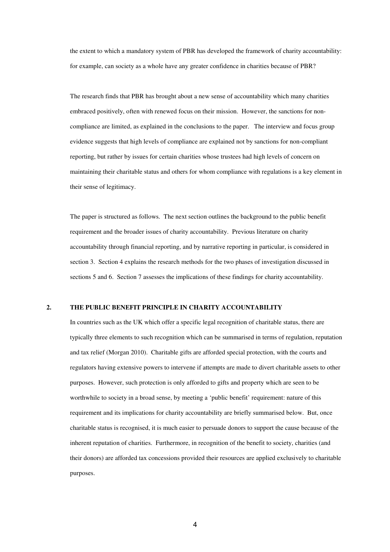the extent to which a mandatory system of PBR has developed the framework of charity accountability: for example, can society as a whole have any greater confidence in charities because of PBR?

The research finds that PBR has brought about a new sense of accountability which many charities embraced positively, often with renewed focus on their mission. However, the sanctions for noncompliance are limited, as explained in the conclusions to the paper. The interview and focus group evidence suggests that high levels of compliance are explained not by sanctions for non-compliant reporting, but rather by issues for certain charities whose trustees had high levels of concern on maintaining their charitable status and others for whom compliance with regulations is a key element in their sense of legitimacy.

The paper is structured as follows. The next section outlines the background to the public benefit requirement and the broader issues of charity accountability. Previous literature on charity accountability through financial reporting, and by narrative reporting in particular, is considered in section 3. Section 4 explains the research methods for the two phases of investigation discussed in sections 5 and 6. Section 7 assesses the implications of these findings for charity accountability.

#### **2. THE PUBLIC BENEFIT PRINCIPLE IN CHARITY ACCOUNTABILITY**

In countries such as the UK which offer a specific legal recognition of charitable status, there are typically three elements to such recognition which can be summarised in terms of regulation, reputation and tax relief (Morgan 2010). Charitable gifts are afforded special protection, with the courts and regulators having extensive powers to intervene if attempts are made to divert charitable assets to other purposes. However, such protection is only afforded to gifts and property which are seen to be worthwhile to society in a broad sense, by meeting a 'public benefit' requirement: nature of this requirement and its implications for charity accountability are briefly summarised below. But, once charitable status is recognised, it is much easier to persuade donors to support the cause because of the inherent reputation of charities. Furthermore, in recognition of the benefit to society, charities (and their donors) are afforded tax concessions provided their resources are applied exclusively to charitable purposes.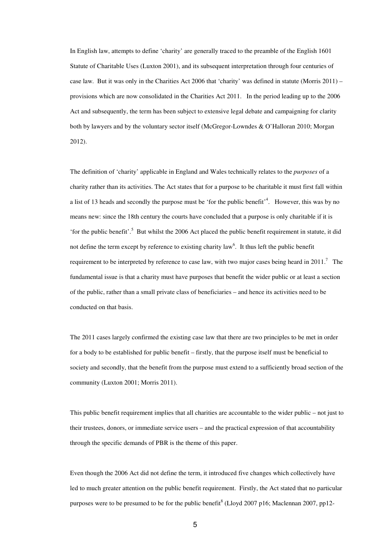In English law, attempts to define 'charity' are generally traced to the preamble of the English 1601 Statute of Charitable Uses (Luxton 2001), and its subsequent interpretation through four centuries of case law. But it was only in the Charities Act 2006 that 'charity' was defined in statute (Morris 2011) – provisions which are now consolidated in the Charities Act 2011. In the period leading up to the 2006 Act and subsequently, the term has been subject to extensive legal debate and campaigning for clarity both by lawyers and by the voluntary sector itself (McGregor-Lowndes & O'Halloran 2010; Morgan 2012).

The definition of 'charity' applicable in England and Wales technically relates to the *purposes* of a charity rather than its activities. The Act states that for a purpose to be charitable it must first fall within a list of 13 heads and secondly the purpose must be 'for the public benefit'<sup>4</sup>. However, this was by no means new: since the 18th century the courts have concluded that a purpose is only charitable if it is 'for the public benefit'.<sup>5</sup> But whilst the 2006 Act placed the public benefit requirement in statute, it did not define the term except by reference to existing charity law<sup>6</sup>. It thus left the public benefit requirement to be interpreted by reference to case law, with two major cases being heard in 2011.<sup>7</sup> The fundamental issue is that a charity must have purposes that benefit the wider public or at least a section of the public, rather than a small private class of beneficiaries – and hence its activities need to be conducted on that basis.

The 2011 cases largely confirmed the existing case law that there are two principles to be met in order for a body to be established for public benefit – firstly, that the purpose itself must be beneficial to society and secondly, that the benefit from the purpose must extend to a sufficiently broad section of the community (Luxton 2001; Morris 2011).

This public benefit requirement implies that all charities are accountable to the wider public – not just to their trustees, donors, or immediate service users – and the practical expression of that accountability through the specific demands of PBR is the theme of this paper.

Even though the 2006 Act did not define the term, it introduced five changes which collectively have led to much greater attention on the public benefit requirement. Firstly, the Act stated that no particular purposes were to be presumed to be for the public benefit<sup>8</sup> (Lloyd 2007 p16; Maclennan 2007, pp12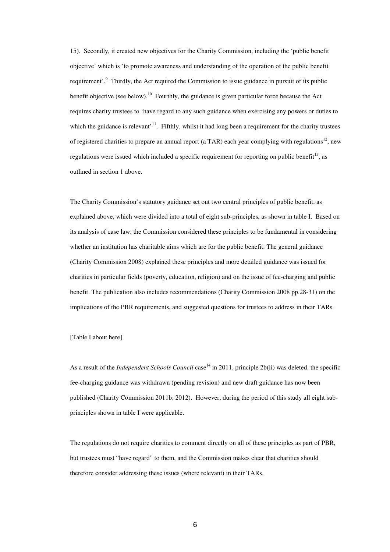15). Secondly, it created new objectives for the Charity Commission, including the 'public benefit objective' which is 'to promote awareness and understanding of the operation of the public benefit requirement'.<sup>9</sup> Thirdly, the Act required the Commission to issue guidance in pursuit of its public benefit objective (see below).<sup>10</sup> Fourthly, the guidance is given particular force because the Act requires charity trustees to 'have regard to any such guidance when exercising any powers or duties to which the guidance is relevant<sup>11</sup>. Fifthly, whilst it had long been a requirement for the charity trustees of registered charities to prepare an annual report (a TAR) each year complying with regulations<sup>12</sup>, new regulations were issued which included a specific requirement for reporting on public benefit<sup>13</sup>, as outlined in section 1 above.

The Charity Commission's statutory guidance set out two central principles of public benefit, as explained above, which were divided into a total of eight sub-principles, as shown in table I. Based on its analysis of case law, the Commission considered these principles to be fundamental in considering whether an institution has charitable aims which are for the public benefit. The general guidance (Charity Commission 2008) explained these principles and more detailed guidance was issued for charities in particular fields (poverty, education, religion) and on the issue of fee-charging and public benefit. The publication also includes recommendations (Charity Commission 2008 pp.28-31) on the implications of the PBR requirements, and suggested questions for trustees to address in their TARs.

#### [Table I about here]

As a result of the *Independent Schools Council* case<sup>14</sup> in 2011, principle 2b(ii) was deleted, the specific fee-charging guidance was withdrawn (pending revision) and new draft guidance has now been published (Charity Commission 2011b; 2012). However, during the period of this study all eight subprinciples shown in table I were applicable.

The regulations do not require charities to comment directly on all of these principles as part of PBR, but trustees must "have regard" to them, and the Commission makes clear that charities should therefore consider addressing these issues (where relevant) in their TARs.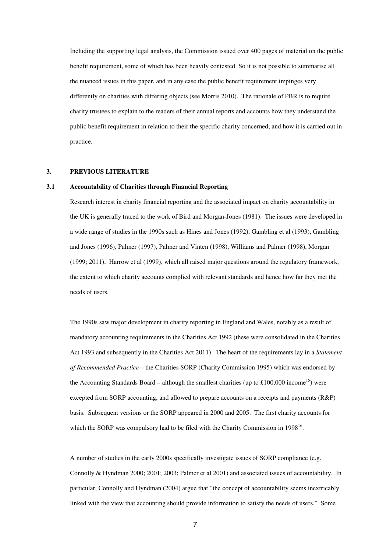Including the supporting legal analysis, the Commission issued over 400 pages of material on the public benefit requirement, some of which has been heavily contested. So it is not possible to summarise all the nuanced issues in this paper, and in any case the public benefit requirement impinges very differently on charities with differing objects (see Morris 2010). The rationale of PBR is to require charity trustees to explain to the readers of their annual reports and accounts how they understand the public benefit requirement in relation to their the specific charity concerned, and how it is carried out in practice.

#### **3. PREVIOUS LITERATURE**

#### **3.1 Accountability of Charities through Financial Reporting**

Research interest in charity financial reporting and the associated impact on charity accountability in the UK is generally traced to the work of Bird and Morgan-Jones (1981). The issues were developed in a wide range of studies in the 1990s such as Hines and Jones (1992), Gambling et al (1993), Gambling and Jones (1996), Palmer (1997), Palmer and Vinten (1998), Williams and Palmer (1998), Morgan (1999; 2011), Harrow et al (1999), which all raised major questions around the regulatory framework, the extent to which charity accounts complied with relevant standards and hence how far they met the needs of users.

The 1990s saw major development in charity reporting in England and Wales, notably as a result of mandatory accounting requirements in the Charities Act 1992 (these were consolidated in the Charities Act 1993 and subsequently in the Charities Act 2011). The heart of the requirements lay in a *Statement of Recommended Practice* – the Charities SORP (Charity Commission 1995) which was endorsed by the Accounting Standards Board – although the smallest charities (up to £100,000 income<sup>15</sup>) were excepted from SORP accounting, and allowed to prepare accounts on a receipts and payments (R&P) basis. Subsequent versions or the SORP appeared in 2000 and 2005. The first charity accounts for which the SORP was compulsory had to be filed with the Charity Commission in  $1998<sup>16</sup>$ .

A number of studies in the early 2000s specifically investigate issues of SORP compliance (e.g. Connolly & Hyndman 2000; 2001; 2003; Palmer et al 2001) and associated issues of accountability. In particular, Connolly and Hyndman (2004) argue that "the concept of accountability seems inextricably linked with the view that accounting should provide information to satisfy the needs of users." Some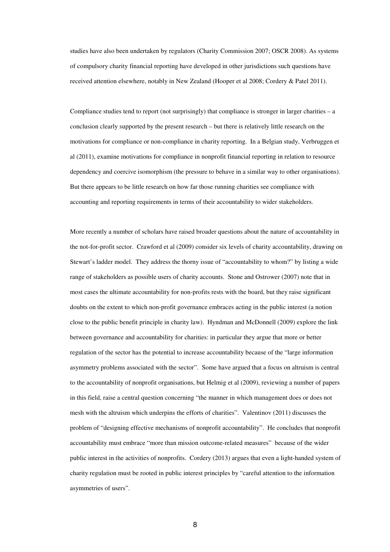studies have also been undertaken by regulators (Charity Commission 2007; OSCR 2008). As systems of compulsory charity financial reporting have developed in other jurisdictions such questions have received attention elsewhere, notably in New Zealand (Hooper et al 2008; Cordery & Patel 2011).

Compliance studies tend to report (not surprisingly) that compliance is stronger in larger charities – a conclusion clearly supported by the present research – but there is relatively little research on the motivations for compliance or non-compliance in charity reporting. In a Belgian study, Verbruggen et al (2011), examine motivations for compliance in nonprofit financial reporting in relation to resource dependency and coercive isomorphism (the pressure to behave in a similar way to other organisations). But there appears to be little research on how far those running charities see compliance with accounting and reporting requirements in terms of their accountability to wider stakeholders.

More recently a number of scholars have raised broader questions about the nature of accountability in the not-for-profit sector. Crawford et al (2009) consider six levels of charity accountability, drawing on Stewart's ladder model. They address the thorny issue of "accountability to whom?" by listing a wide range of stakeholders as possible users of charity accounts. Stone and Ostrower (2007) note that in most cases the ultimate accountability for non-profits rests with the board, but they raise significant doubts on the extent to which non-profit governance embraces acting in the public interest (a notion close to the public benefit principle in charity law). Hyndman and McDonnell (2009) explore the link between governance and accountability for charities: in particular they argue that more or better regulation of the sector has the potential to increase accountability because of the "large information asymmetry problems associated with the sector". Some have argued that a focus on altruism is central to the accountability of nonprofit organisations, but Helmig et al (2009), reviewing a number of papers in this field, raise a central question concerning "the manner in which management does or does not mesh with the altruism which underpins the efforts of charities". Valentinov (2011) discusses the problem of "designing effective mechanisms of nonprofit accountability". He concludes that nonprofit accountability must embrace "more than mission outcome-related measures" because of the wider public interest in the activities of nonprofits. Cordery (2013) argues that even a light-handed system of charity regulation must be rooted in public interest principles by "careful attention to the information asymmetries of users".

8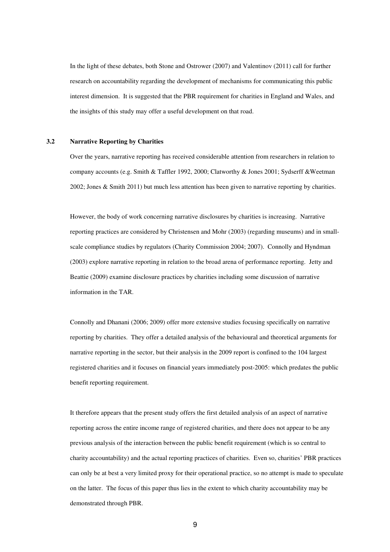In the light of these debates, both Stone and Ostrower (2007) and Valentinov (2011) call for further research on accountability regarding the development of mechanisms for communicating this public interest dimension. It is suggested that the PBR requirement for charities in England and Wales, and the insights of this study may offer a useful development on that road.

#### **3.2 Narrative Reporting by Charities**

Over the years, narrative reporting has received considerable attention from researchers in relation to company accounts (e.g. Smith & Taffler 1992, 2000; Clatworthy & Jones 2001; Sydserff &Weetman 2002; Jones & Smith 2011) but much less attention has been given to narrative reporting by charities.

However, the body of work concerning narrative disclosures by charities is increasing. Narrative reporting practices are considered by Christensen and Mohr (2003) (regarding museums) and in smallscale compliance studies by regulators (Charity Commission 2004; 2007). Connolly and Hyndman (2003) explore narrative reporting in relation to the broad arena of performance reporting. Jetty and Beattie (2009) examine disclosure practices by charities including some discussion of narrative information in the TAR.

Connolly and Dhanani (2006; 2009) offer more extensive studies focusing specifically on narrative reporting by charities. They offer a detailed analysis of the behavioural and theoretical arguments for narrative reporting in the sector, but their analysis in the 2009 report is confined to the 104 largest registered charities and it focuses on financial years immediately post-2005: which predates the public benefit reporting requirement.

It therefore appears that the present study offers the first detailed analysis of an aspect of narrative reporting across the entire income range of registered charities, and there does not appear to be any previous analysis of the interaction between the public benefit requirement (which is so central to charity accountability) and the actual reporting practices of charities. Even so, charities' PBR practices can only be at best a very limited proxy for their operational practice, so no attempt is made to speculate on the latter. The focus of this paper thus lies in the extent to which charity accountability may be demonstrated through PBR.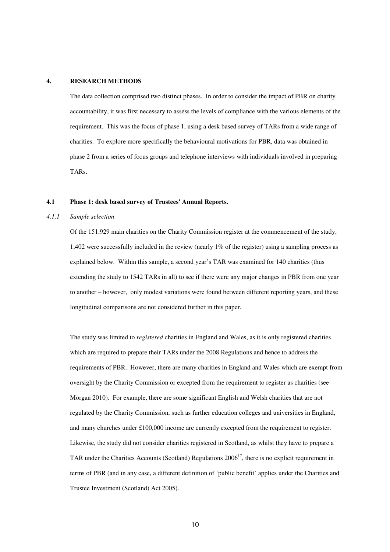#### **4. RESEARCH METHODS**

The data collection comprised two distinct phases. In order to consider the impact of PBR on charity accountability, it was first necessary to assess the levels of compliance with the various elements of the requirement. This was the focus of phase 1, using a desk based survey of TARs from a wide range of charities. To explore more specifically the behavioural motivations for PBR, data was obtained in phase 2 from a series of focus groups and telephone interviews with individuals involved in preparing TARs.

#### **4.1 Phase 1: desk based survey of Trustees' Annual Reports.**

#### *4.1.1 Sample selection*

Of the 151,929 main charities on the Charity Commission register at the commencement of the study, 1,402 were successfully included in the review (nearly 1% of the register) using a sampling process as explained below. Within this sample, a second year's TAR was examined for 140 charities (thus extending the study to 1542 TARs in all) to see if there were any major changes in PBR from one year to another – however, only modest variations were found between different reporting years, and these longitudinal comparisons are not considered further in this paper.

The study was limited to *registered* charities in England and Wales, as it is only registered charities which are required to prepare their TARs under the 2008 Regulations and hence to address the requirements of PBR. However, there are many charities in England and Wales which are exempt from oversight by the Charity Commission or excepted from the requirement to register as charities (see Morgan 2010). For example, there are some significant English and Welsh charities that are not regulated by the Charity Commission, such as further education colleges and universities in England, and many churches under £100,000 income are currently excepted from the requirement to register. Likewise, the study did not consider charities registered in Scotland, as whilst they have to prepare a TAR under the Charities Accounts (Scotland) Regulations  $2006<sup>17</sup>$ , there is no explicit requirement in terms of PBR (and in any case, a different definition of 'public benefit' applies under the Charities and Trustee Investment (Scotland) Act 2005).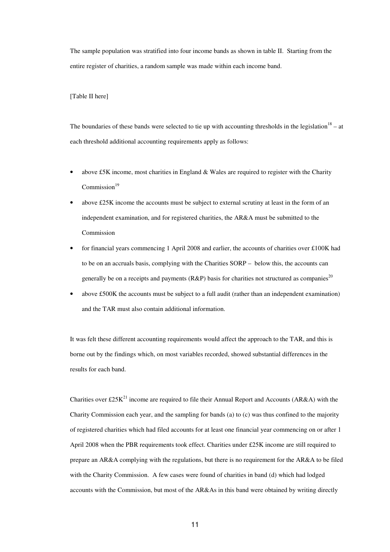The sample population was stratified into four income bands as shown in table II. Starting from the entire register of charities, a random sample was made within each income band.

#### [Table II here]

The boundaries of these bands were selected to tie up with accounting thresholds in the legislation<sup>18</sup> – at each threshold additional accounting requirements apply as follows:

- above £5K income, most charities in England  $&$  Wales are required to register with the Charity  $Common<sup>19</sup>$
- above £25K income the accounts must be subject to external scrutiny at least in the form of an independent examination, and for registered charities, the AR&A must be submitted to the Commission
- for financial years commencing 1 April 2008 and earlier, the accounts of charities over £100K had to be on an accruals basis, complying with the Charities SORP – below this, the accounts can generally be on a receipts and payments (R&P) basis for charities not structured as companies<sup>20</sup>
- above £500K the accounts must be subject to a full audit (rather than an independent examination) and the TAR must also contain additional information.

It was felt these different accounting requirements would affect the approach to the TAR, and this is borne out by the findings which, on most variables recorded, showed substantial differences in the results for each band.

Charities over £25 $K^{21}$  income are required to file their Annual Report and Accounts (AR&A) with the Charity Commission each year, and the sampling for bands (a) to (c) was thus confined to the majority of registered charities which had filed accounts for at least one financial year commencing on or after 1 April 2008 when the PBR requirements took effect. Charities under £25K income are still required to prepare an AR&A complying with the regulations, but there is no requirement for the AR&A to be filed with the Charity Commission. A few cases were found of charities in band (d) which had lodged accounts with the Commission, but most of the AR&As in this band were obtained by writing directly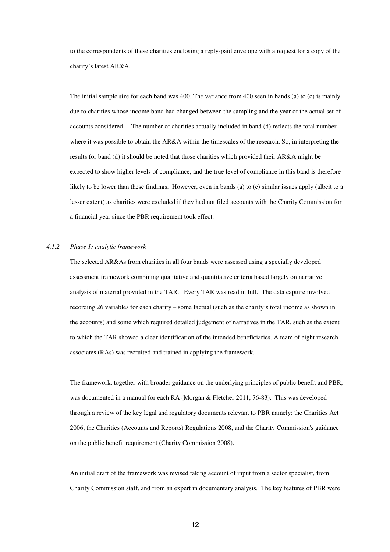to the correspondents of these charities enclosing a reply-paid envelope with a request for a copy of the charity's latest AR&A.

The initial sample size for each band was 400. The variance from 400 seen in bands (a) to (c) is mainly due to charities whose income band had changed between the sampling and the year of the actual set of accounts considered. The number of charities actually included in band (d) reflects the total number where it was possible to obtain the AR&A within the timescales of the research. So, in interpreting the results for band (d) it should be noted that those charities which provided their AR&A might be expected to show higher levels of compliance, and the true level of compliance in this band is therefore likely to be lower than these findings. However, even in bands (a) to (c) similar issues apply (albeit to a lesser extent) as charities were excluded if they had not filed accounts with the Charity Commission for a financial year since the PBR requirement took effect.

### *4.1.2 Phase 1: analytic framework*

The selected AR&As from charities in all four bands were assessed using a specially developed assessment framework combining qualitative and quantitative criteria based largely on narrative analysis of material provided in the TAR. Every TAR was read in full. The data capture involved recording 26 variables for each charity – some factual (such as the charity's total income as shown in the accounts) and some which required detailed judgement of narratives in the TAR, such as the extent to which the TAR showed a clear identification of the intended beneficiaries. A team of eight research associates (RAs) was recruited and trained in applying the framework.

The framework, together with broader guidance on the underlying principles of public benefit and PBR, was documented in a manual for each RA (Morgan & Fletcher 2011, 76-83). This was developed through a review of the key legal and regulatory documents relevant to PBR namely: the Charities Act 2006, the Charities (Accounts and Reports) Regulations 2008, and the Charity Commission's guidance on the public benefit requirement (Charity Commission 2008).

An initial draft of the framework was revised taking account of input from a sector specialist, from Charity Commission staff, and from an expert in documentary analysis. The key features of PBR were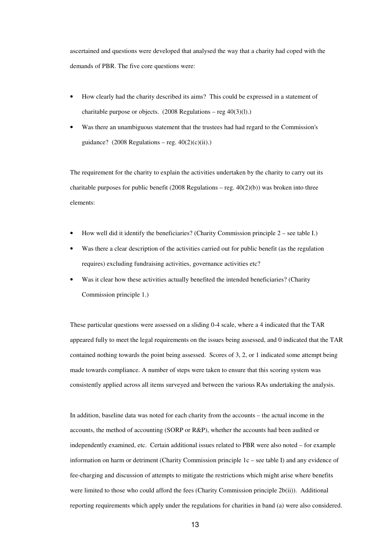ascertained and questions were developed that analysed the way that a charity had coped with the demands of PBR. The five core questions were:

- How clearly had the charity described its aims? This could be expressed in a statement of charitable purpose or objects.  $(2008$  Regulations – reg  $40(3)(1)$ .)
- Was there an unambiguous statement that the trustees had had regard to the Commission's guidance? (2008 Regulations – reg.  $40(2)(c)(ii)$ .)

The requirement for the charity to explain the activities undertaken by the charity to carry out its charitable purposes for public benefit (2008 Regulations – reg.  $40(2)(b)$ ) was broken into three elements:

- How well did it identify the beneficiaries? (Charity Commission principle 2 see table I.)
- Was there a clear description of the activities carried out for public benefit (as the regulation requires) excluding fundraising activities, governance activities etc?
- Was it clear how these activities actually benefited the intended beneficiaries? (Charity Commission principle 1.)

These particular questions were assessed on a sliding 0-4 scale, where a 4 indicated that the TAR appeared fully to meet the legal requirements on the issues being assessed, and 0 indicated that the TAR contained nothing towards the point being assessed. Scores of 3, 2, or 1 indicated some attempt being made towards compliance. A number of steps were taken to ensure that this scoring system was consistently applied across all items surveyed and between the various RAs undertaking the analysis.

In addition, baseline data was noted for each charity from the accounts – the actual income in the accounts, the method of accounting (SORP or R&P), whether the accounts had been audited or independently examined, etc. Certain additional issues related to PBR were also noted – for example information on harm or detriment (Charity Commission principle 1c – see table I) and any evidence of fee-charging and discussion of attempts to mitigate the restrictions which might arise where benefits were limited to those who could afford the fees (Charity Commission principle 2b(ii)). Additional reporting requirements which apply under the regulations for charities in band (a) were also considered.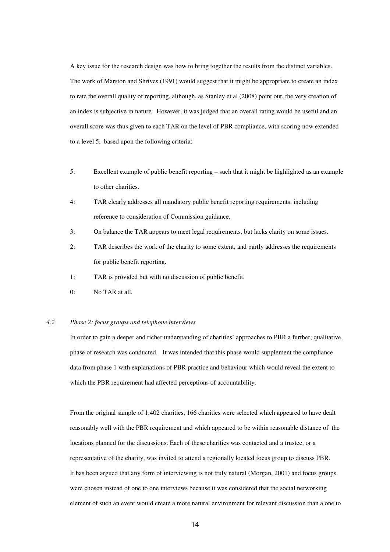A key issue for the research design was how to bring together the results from the distinct variables. The work of Marston and Shrives (1991) would suggest that it might be appropriate to create an index to rate the overall quality of reporting, although, as Stanley et al (2008) point out, the very creation of an index is subjective in nature. However, it was judged that an overall rating would be useful and an overall score was thus given to each TAR on the level of PBR compliance, with scoring now extended to a level 5, based upon the following criteria:

- 5: Excellent example of public benefit reporting such that it might be highlighted as an example to other charities.
- 4: TAR clearly addresses all mandatory public benefit reporting requirements, including reference to consideration of Commission guidance.
- 3: On balance the TAR appears to meet legal requirements, but lacks clarity on some issues.
- 2: TAR describes the work of the charity to some extent, and partly addresses the requirements for public benefit reporting.
- 1: TAR is provided but with no discussion of public benefit.
- 0: No TAR at all.

#### *4.2 Phase 2: focus groups and telephone interviews*

In order to gain a deeper and richer understanding of charities' approaches to PBR a further, qualitative, phase of research was conducted. It was intended that this phase would supplement the compliance data from phase 1 with explanations of PBR practice and behaviour which would reveal the extent to which the PBR requirement had affected perceptions of accountability.

From the original sample of 1,402 charities, 166 charities were selected which appeared to have dealt reasonably well with the PBR requirement and which appeared to be within reasonable distance of the locations planned for the discussions. Each of these charities was contacted and a trustee, or a representative of the charity, was invited to attend a regionally located focus group to discuss PBR. It has been argued that any form of interviewing is not truly natural (Morgan, 2001) and focus groups were chosen instead of one to one interviews because it was considered that the social networking element of such an event would create a more natural environment for relevant discussion than a one to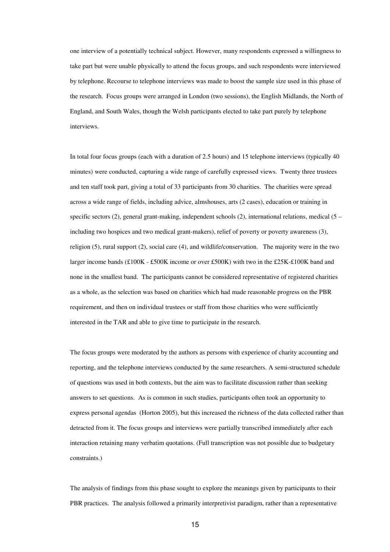one interview of a potentially technical subject. However, many respondents expressed a willingness to take part but were unable physically to attend the focus groups, and such respondents were interviewed by telephone. Recourse to telephone interviews was made to boost the sample size used in this phase of the research. Focus groups were arranged in London (two sessions), the English Midlands, the North of England, and South Wales, though the Welsh participants elected to take part purely by telephone interviews.

In total four focus groups (each with a duration of 2.5 hours) and 15 telephone interviews (typically 40 minutes) were conducted, capturing a wide range of carefully expressed views. Twenty three trustees and ten staff took part, giving a total of 33 participants from 30 charities. The charities were spread across a wide range of fields, including advice, almshouses, arts (2 cases), education or training in specific sectors  $(2)$ , general grant-making, independent schools  $(2)$ , international relations, medical  $(5$ including two hospices and two medical grant-makers), relief of poverty or poverty awareness (3), religion (5), rural support (2), social care (4), and wildlife/conservation. The majority were in the two larger income bands (£100K - £500K income or over £500K) with two in the £25K-£100K band and none in the smallest band. The participants cannot be considered representative of registered charities as a whole, as the selection was based on charities which had made reasonable progress on the PBR requirement, and then on individual trustees or staff from those charities who were sufficiently interested in the TAR and able to give time to participate in the research.

The focus groups were moderated by the authors as persons with experience of charity accounting and reporting, and the telephone interviews conducted by the same researchers. A semi-structured schedule of questions was used in both contexts, but the aim was to facilitate discussion rather than seeking answers to set questions. As is common in such studies, participants often took an opportunity to express personal agendas (Horton 2005), but this increased the richness of the data collected rather than detracted from it. The focus groups and interviews were partially transcribed immediately after each interaction retaining many verbatim quotations. (Full transcription was not possible due to budgetary constraints.)

The analysis of findings from this phase sought to explore the meanings given by participants to their PBR practices. The analysis followed a primarily interpretivist paradigm, rather than a representative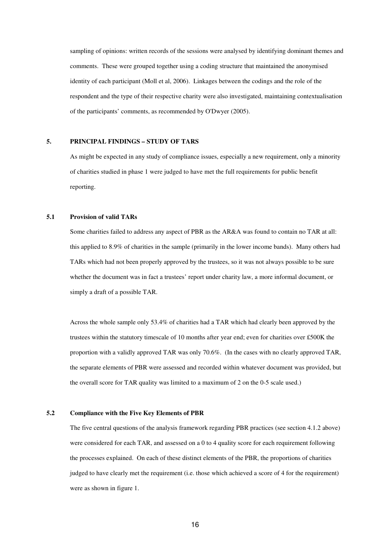sampling of opinions: written records of the sessions were analysed by identifying dominant themes and comments. These were grouped together using a coding structure that maintained the anonymised identity of each participant (Moll et al, 2006). Linkages between the codings and the role of the respondent and the type of their respective charity were also investigated, maintaining contextualisation of the participants' comments, as recommended by O'Dwyer (2005).

#### **5. PRINCIPAL FINDINGS – STUDY OF TARS**

As might be expected in any study of compliance issues, especially a new requirement, only a minority of charities studied in phase 1 were judged to have met the full requirements for public benefit reporting.

#### **5.1 Provision of valid TARs**

Some charities failed to address any aspect of PBR as the AR&A was found to contain no TAR at all: this applied to 8.9% of charities in the sample (primarily in the lower income bands). Many others had TARs which had not been properly approved by the trustees, so it was not always possible to be sure whether the document was in fact a trustees' report under charity law, a more informal document, or simply a draft of a possible TAR.

Across the whole sample only 53.4% of charities had a TAR which had clearly been approved by the trustees within the statutory timescale of 10 months after year end; even for charities over £500K the proportion with a validly approved TAR was only 70.6%. (In the cases with no clearly approved TAR, the separate elements of PBR were assessed and recorded within whatever document was provided, but the overall score for TAR quality was limited to a maximum of 2 on the 0-5 scale used.)

## **5.2 Compliance with the Five Key Elements of PBR**

The five central questions of the analysis framework regarding PBR practices (see section 4.1.2 above) were considered for each TAR, and assessed on a 0 to 4 quality score for each requirement following the processes explained. On each of these distinct elements of the PBR, the proportions of charities judged to have clearly met the requirement (i.e. those which achieved a score of 4 for the requirement) were as shown in figure 1.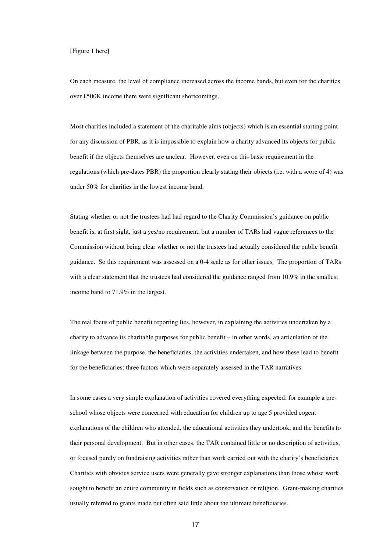#### [Figure 1 here]

On each measure, the level of compliance increased across the income bands, but even for the charities over £500K income there were significant shortcomings.

Most charities included a statement of the charitable aims (objects) which is an essential starting point for any discussion of PBR, as it is impossible to explain how a charity advanced its objects for public benefit if the objects themselves are unclear. However, even on this basic requirement in the regulations (which pre-dates PBR) the proportion clearly stating their objects (i.e. with a score of 4) was under 50% for charities in the lowest income band.

Stating whether or not the trustees had had regard to the Charity Commission's guidance on public benefit is, at first sight, just a yes/no requirement, but a number of TARs had vague references to the Commission without being clear whether or not the trustees had actually considered the public benefit guidance. So this requirement was assessed on a 0-4 scale as for other issues. The proportion of TARs with a clear statement that the trustees had considered the guidance ranged from 10.9% in the smallest income band to 71.9% in the largest.

The real focus of public benefit reporting lies, however, in explaining the activities undertaken by a charity to advance its charitable purposes for public benefit – in other words, an articulation of the linkage between the purpose, the beneficiaries, the activities undertaken, and how these lead to benefit for the beneficiaries: three factors which were separately assessed in the TAR narratives.

In some cases a very simple explanation of activities covered everything expected: for example a preschool whose objects were concerned with education for children up to age 5 provided cogent explanations of the children who attended, the educational activities they undertook, and the benefits to their personal development. But in other cases, the TAR contained little or no description of activities, or focused purely on fundraising activities rather than work carried out with the charity's beneficiaries. Charities with obvious service users were generally gave stronger explanations than those whose work sought to benefit an entire community in fields such as conservation or religion. Grant-making charities usually referred to grants made but often said little about the ultimate beneficiaries.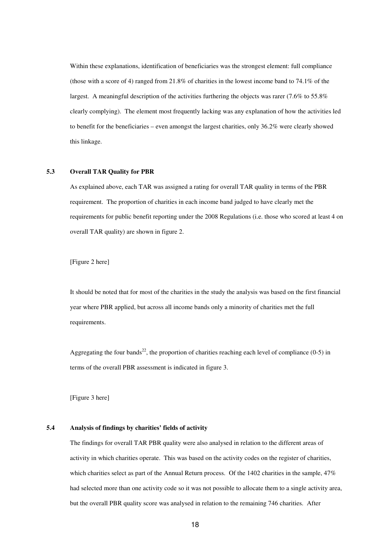Within these explanations, identification of beneficiaries was the strongest element: full compliance (those with a score of 4) ranged from 21.8% of charities in the lowest income band to 74.1% of the largest. A meaningful description of the activities furthering the objects was rarer (7.6% to 55.8% clearly complying). The element most frequently lacking was any explanation of how the activities led to benefit for the beneficiaries – even amongst the largest charities, only 36.2% were clearly showed this linkage.

#### **5.3 Overall TAR Quality for PBR**

As explained above, each TAR was assigned a rating for overall TAR quality in terms of the PBR requirement. The proportion of charities in each income band judged to have clearly met the requirements for public benefit reporting under the 2008 Regulations (i.e. those who scored at least 4 on overall TAR quality) are shown in figure 2.

[Figure 2 here]

It should be noted that for most of the charities in the study the analysis was based on the first financial year where PBR applied, but across all income bands only a minority of charities met the full requirements.

Aggregating the four bands<sup>22</sup>, the proportion of charities reaching each level of compliance (0-5) in terms of the overall PBR assessment is indicated in figure 3.

[Figure 3 here]

## **5.4 Analysis of findings by charities' fields of activity**

The findings for overall TAR PBR quality were also analysed in relation to the different areas of activity in which charities operate. This was based on the activity codes on the register of charities, which charities select as part of the Annual Return process. Of the 1402 charities in the sample, 47% had selected more than one activity code so it was not possible to allocate them to a single activity area, but the overall PBR quality score was analysed in relation to the remaining 746 charities. After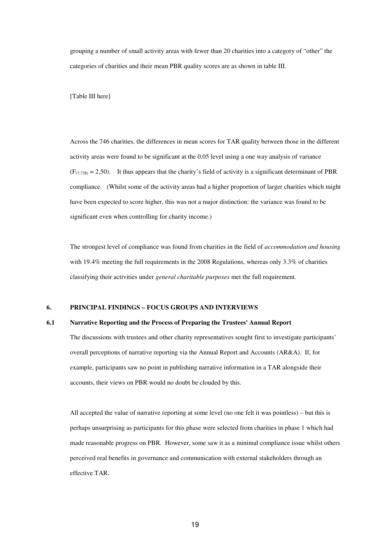grouping a number of small activity areas with fewer than 20 charities into a category of "other" the categories of charities and their mean PBR quality scores are as shown in table III.

[Table III here]

Across the 746 charities, the differences in mean scores for TAR quality between those in the different activity areas were found to be significant at the 0.05 level using a one way analysis of variance  $(F<sub>(7,738)</sub> = 2.50)$ . It thus appears that the charity's field of activity is a significant determinant of PBR compliance. (Whilst some of the activity areas had a higher proportion of larger charities which might have been expected to score higher, this was not a major distinction: the variance was found to be significant even when controlling for charity income.)

The strongest level of compliance was found from charities in the field of *accommodation and housing* with 19.4% meeting the full requirements in the 2008 Regulations, whereas only 3.3% of charities classifying their activities under *general charitable purposes* met the full requirement.

#### **6. PRINCIPAL FINDINGS – FOCUS GROUPS AND INTERVIEWS**

#### **6.1 Narrative Reporting and the Process of Preparing the Trustees' Annual Report**

The discussions with trustees and other charity representatives sought first to investigate participants' overall perceptions of narrative reporting via the Annual Report and Accounts (AR&A). If, for example, participants saw no point in publishing narrative information in a TAR alongside their accounts, their views on PBR would no doubt be clouded by this.

All accepted the value of narrative reporting at some level (no one felt it was pointless) – but this is perhaps unsurprising as participants for this phase were selected from charities in phase 1 which had made reasonable progress on PBR. However, some saw it as a minimal compliance issue whilst others perceived real benefits in governance and communication with external stakeholders through an effective TAR.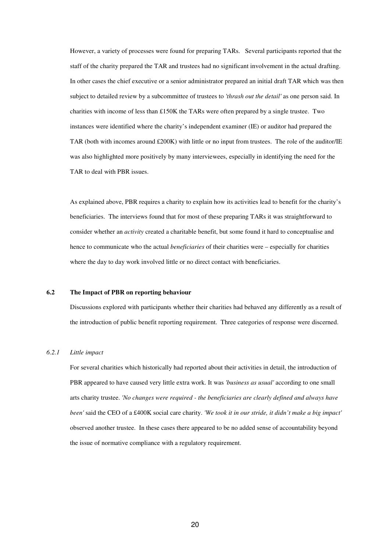However, a variety of processes were found for preparing TARs. Several participants reported that the staff of the charity prepared the TAR and trustees had no significant involvement in the actual drafting. In other cases the chief executive or a senior administrator prepared an initial draft TAR which was then subject to detailed review by a subcommittee of trustees to *'thrash out the detail'* as one person said. In charities with income of less than £150K the TARs were often prepared by a single trustee. Two instances were identified where the charity's independent examiner (IE) or auditor had prepared the TAR (both with incomes around £200K) with little or no input from trustees. The role of the auditor/IE was also highlighted more positively by many interviewees, especially in identifying the need for the TAR to deal with PBR issues.

As explained above, PBR requires a charity to explain how its activities lead to benefit for the charity's beneficiaries. The interviews found that for most of these preparing TARs it was straightforward to consider whether an *activity* created a charitable benefit, but some found it hard to conceptualise and hence to communicate who the actual *beneficiaries* of their charities were – especially for charities where the day to day work involved little or no direct contact with beneficiaries.

#### **6.2 The Impact of PBR on reporting behaviour**

Discussions explored with participants whether their charities had behaved any differently as a result of the introduction of public benefit reporting requirement. Three categories of response were discerned.

### *6.2.1 Little impact*

For several charities which historically had reported about their activities in detail, the introduction of PBR appeared to have caused very little extra work. It was *'business as usual'* according to one small arts charity trustee. *'No changes were required - the beneficiaries are clearly defined and always have been'* said the CEO of a £400K social care charity. *'We took it in our stride, it didn't make a big impact'*  observed another trustee. In these cases there appeared to be no added sense of accountability beyond the issue of normative compliance with a regulatory requirement.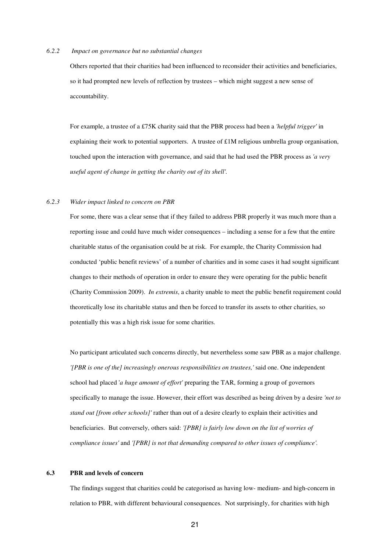#### *6.2.2 Impact on governance but no substantial changes*

Others reported that their charities had been influenced to reconsider their activities and beneficiaries, so it had prompted new levels of reflection by trustees – which might suggest a new sense of accountability.

For example, a trustee of a £75K charity said that the PBR process had been a *'helpful trigger'* in explaining their work to potential supporters. A trustee of  $£1M$  religious umbrella group organisation, touched upon the interaction with governance, and said that he had used the PBR process as *'a very useful agent of change in getting the charity out of its shell'.* 

#### *6.2.3 Wider impact linked to concern on PBR*

For some, there was a clear sense that if they failed to address PBR properly it was much more than a reporting issue and could have much wider consequences – including a sense for a few that the entire charitable status of the organisation could be at risk. For example, the Charity Commission had conducted 'public benefit reviews' of a number of charities and in some cases it had sought significant changes to their methods of operation in order to ensure they were operating for the public benefit (Charity Commission 2009). *In extremis*, a charity unable to meet the public benefit requirement could theoretically lose its charitable status and then be forced to transfer its assets to other charities, so potentially this was a high risk issue for some charities.

No participant articulated such concerns directly, but nevertheless some saw PBR as a major challenge. *'[PBR is one of the] increasingly onerous responsibilities on trustees,'* said one. One independent school had placed '*a huge amount of effort'* preparing the TAR, forming a group of governors specifically to manage the issue. However, their effort was described as being driven by a desire *'not to stand out [from other schools]'* rather than out of a desire clearly to explain their activities and beneficiaries. But conversely, others said: *'[PBR] is fairly low down on the list of worries of compliance issues'* and *'[PBR] is not that demanding compared to other issues of compliance'.* 

#### **6.3 PBR and levels of concern**

The findings suggest that charities could be categorised as having low- medium- and high-concern in relation to PBR, with different behavioural consequences. Not surprisingly, for charities with high

21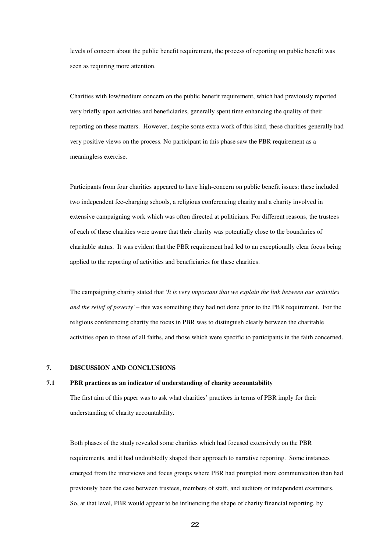levels of concern about the public benefit requirement, the process of reporting on public benefit was seen as requiring more attention.

Charities with low/medium concern on the public benefit requirement, which had previously reported very briefly upon activities and beneficiaries, generally spent time enhancing the quality of their reporting on these matters. However, despite some extra work of this kind, these charities generally had very positive views on the process. No participant in this phase saw the PBR requirement as a meaningless exercise.

Participants from four charities appeared to have high-concern on public benefit issues: these included two independent fee-charging schools, a religious conferencing charity and a charity involved in extensive campaigning work which was often directed at politicians. For different reasons, the trustees of each of these charities were aware that their charity was potentially close to the boundaries of charitable status. It was evident that the PBR requirement had led to an exceptionally clear focus being applied to the reporting of activities and beneficiaries for these charities.

The campaigning charity stated that *'It is very important that we explain the link between our activities and the relief of poverty' –* this was something they had not done prior to the PBR requirement. For the religious conferencing charity the focus in PBR was to distinguish clearly between the charitable activities open to those of all faiths, and those which were specific to participants in the faith concerned.

#### **7. DISCUSSION AND CONCLUSIONS**

#### **7.1 PBR practices as an indicator of understanding of charity accountability**

The first aim of this paper was to ask what charities' practices in terms of PBR imply for their understanding of charity accountability.

Both phases of the study revealed some charities which had focused extensively on the PBR requirements, and it had undoubtedly shaped their approach to narrative reporting. Some instances emerged from the interviews and focus groups where PBR had prompted more communication than had previously been the case between trustees, members of staff, and auditors or independent examiners. So, at that level, PBR would appear to be influencing the shape of charity financial reporting, by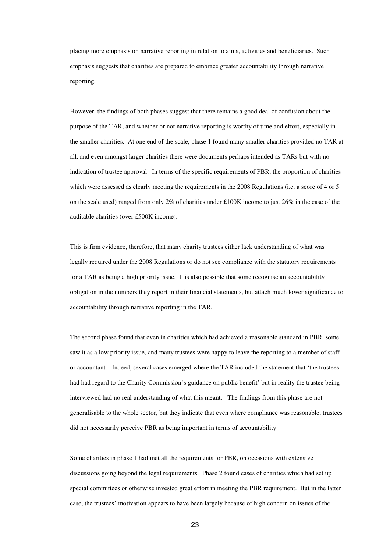placing more emphasis on narrative reporting in relation to aims, activities and beneficiaries. Such emphasis suggests that charities are prepared to embrace greater accountability through narrative reporting.

However, the findings of both phases suggest that there remains a good deal of confusion about the purpose of the TAR, and whether or not narrative reporting is worthy of time and effort, especially in the smaller charities. At one end of the scale, phase 1 found many smaller charities provided no TAR at all, and even amongst larger charities there were documents perhaps intended as TARs but with no indication of trustee approval. In terms of the specific requirements of PBR, the proportion of charities which were assessed as clearly meeting the requirements in the 2008 Regulations (i.e. a score of 4 or 5 on the scale used) ranged from only 2% of charities under £100K income to just 26% in the case of the auditable charities (over £500K income).

This is firm evidence, therefore, that many charity trustees either lack understanding of what was legally required under the 2008 Regulations or do not see compliance with the statutory requirements for a TAR as being a high priority issue. It is also possible that some recognise an accountability obligation in the numbers they report in their financial statements, but attach much lower significance to accountability through narrative reporting in the TAR.

The second phase found that even in charities which had achieved a reasonable standard in PBR, some saw it as a low priority issue, and many trustees were happy to leave the reporting to a member of staff or accountant. Indeed, several cases emerged where the TAR included the statement that 'the trustees had had regard to the Charity Commission's guidance on public benefit' but in reality the trustee being interviewed had no real understanding of what this meant. The findings from this phase are not generalisable to the whole sector, but they indicate that even where compliance was reasonable, trustees did not necessarily perceive PBR as being important in terms of accountability.

Some charities in phase 1 had met all the requirements for PBR, on occasions with extensive discussions going beyond the legal requirements. Phase 2 found cases of charities which had set up special committees or otherwise invested great effort in meeting the PBR requirement. But in the latter case, the trustees' motivation appears to have been largely because of high concern on issues of the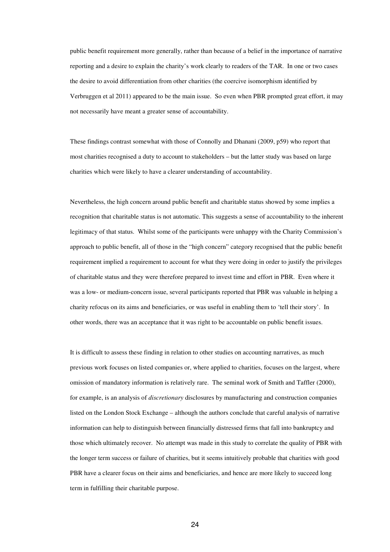public benefit requirement more generally, rather than because of a belief in the importance of narrative reporting and a desire to explain the charity's work clearly to readers of the TAR. In one or two cases the desire to avoid differentiation from other charities (the coercive isomorphism identified by Verbruggen et al 2011) appeared to be the main issue. So even when PBR prompted great effort, it may not necessarily have meant a greater sense of accountability.

These findings contrast somewhat with those of Connolly and Dhanani (2009, p59) who report that most charities recognised a duty to account to stakeholders – but the latter study was based on large charities which were likely to have a clearer understanding of accountability.

Nevertheless, the high concern around public benefit and charitable status showed by some implies a recognition that charitable status is not automatic. This suggests a sense of accountability to the inherent legitimacy of that status. Whilst some of the participants were unhappy with the Charity Commission's approach to public benefit, all of those in the "high concern" category recognised that the public benefit requirement implied a requirement to account for what they were doing in order to justify the privileges of charitable status and they were therefore prepared to invest time and effort in PBR. Even where it was a low- or medium-concern issue, several participants reported that PBR was valuable in helping a charity refocus on its aims and beneficiaries, or was useful in enabling them to 'tell their story'. In other words, there was an acceptance that it was right to be accountable on public benefit issues.

It is difficult to assess these finding in relation to other studies on accounting narratives, as much previous work focuses on listed companies or, where applied to charities, focuses on the largest, where omission of mandatory information is relatively rare. The seminal work of Smith and Taffler (2000), for example, is an analysis of *discretionary* disclosures by manufacturing and construction companies listed on the London Stock Exchange – although the authors conclude that careful analysis of narrative information can help to distinguish between financially distressed firms that fall into bankruptcy and those which ultimately recover. No attempt was made in this study to correlate the quality of PBR with the longer term success or failure of charities, but it seems intuitively probable that charities with good PBR have a clearer focus on their aims and beneficiaries, and hence are more likely to succeed long term in fulfilling their charitable purpose.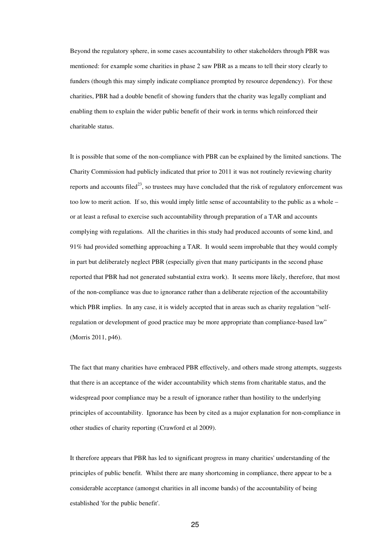Beyond the regulatory sphere, in some cases accountability to other stakeholders through PBR was mentioned: for example some charities in phase 2 saw PBR as a means to tell their story clearly to funders (though this may simply indicate compliance prompted by resource dependency). For these charities, PBR had a double benefit of showing funders that the charity was legally compliant and enabling them to explain the wider public benefit of their work in terms which reinforced their charitable status.

It is possible that some of the non-compliance with PBR can be explained by the limited sanctions. The Charity Commission had publicly indicated that prior to 2011 it was not routinely reviewing charity reports and accounts filed<sup>23</sup>, so trustees may have concluded that the risk of regulatory enforcement was too low to merit action. If so, this would imply little sense of accountability to the public as a whole – or at least a refusal to exercise such accountability through preparation of a TAR and accounts complying with regulations. All the charities in this study had produced accounts of some kind, and 91% had provided something approaching a TAR. It would seem improbable that they would comply in part but deliberately neglect PBR (especially given that many participants in the second phase reported that PBR had not generated substantial extra work). It seems more likely, therefore, that most of the non-compliance was due to ignorance rather than a deliberate rejection of the accountability which PBR implies. In any case, it is widely accepted that in areas such as charity regulation "selfregulation or development of good practice may be more appropriate than compliance-based law" (Morris 2011, p46).

The fact that many charities have embraced PBR effectively, and others made strong attempts, suggests that there is an acceptance of the wider accountability which stems from charitable status, and the widespread poor compliance may be a result of ignorance rather than hostility to the underlying principles of accountability. Ignorance has been by cited as a major explanation for non-compliance in other studies of charity reporting (Crawford et al 2009).

It therefore appears that PBR has led to significant progress in many charities' understanding of the principles of public benefit. Whilst there are many shortcoming in compliance, there appear to be a considerable acceptance (amongst charities in all income bands) of the accountability of being established 'for the public benefit'.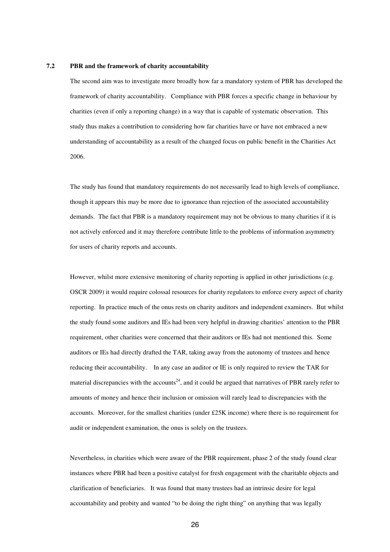#### **7.2 PBR and the framework of charity accountability**

 The second aim was to investigate more broadly how far a mandatory system of PBR has developed the framework of charity accountability. Compliance with PBR forces a specific change in behaviour by charities (even if only a reporting change) in a way that is capable of systematic observation. This study thus makes a contribution to considering how far charities have or have not embraced a new understanding of accountability as a result of the changed focus on public benefit in the Charities Act 2006.

 The study has found that mandatory requirements do not necessarily lead to high levels of compliance, though it appears this may be more due to ignorance than rejection of the associated accountability demands. The fact that PBR is a mandatory requirement may not be obvious to many charities if it is not actively enforced and it may therefore contribute little to the problems of information asymmetry for users of charity reports and accounts.

 However, whilst more extensive monitoring of charity reporting is applied in other jurisdictions (e.g. OSCR 2009) it would require colossal resources for charity regulators to enforce every aspect of charity reporting. In practice much of the onus rests on charity auditors and independent examiners. But whilst the study found some auditors and IEs had been very helpful in drawing charities' attention to the PBR requirement, other charities were concerned that their auditors or IEs had not mentioned this. Some auditors or IEs had directly drafted the TAR, taking away from the autonomy of trustees and hence reducing their accountability. In any case an auditor or IE is only required to review the TAR for material discrepancies with the accounts<sup>24</sup>, and it could be argued that narratives of PBR rarely refer to amounts of money and hence their inclusion or omission will rarely lead to discrepancies with the accounts. Moreover, for the smallest charities (under £25K income) where there is no requirement for audit or independent examination, the onus is solely on the trustees.

 Nevertheless, in charities which were aware of the PBR requirement, phase 2 of the study found clear instances where PBR had been a positive catalyst for fresh engagement with the charitable objects and clarification of beneficiaries. It was found that many trustees had an intrinsic desire for legal accountability and probity and wanted "to be doing the right thing" on anything that was legally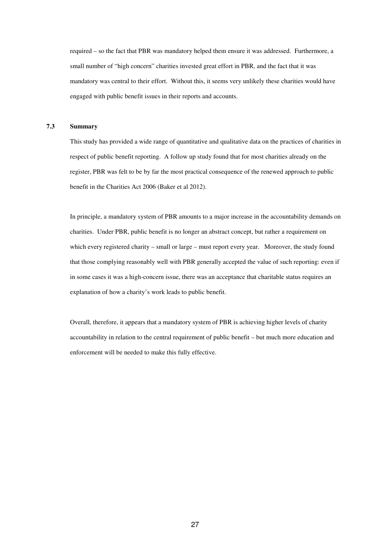required – so the fact that PBR was mandatory helped them ensure it was addressed. Furthermore, a small number of "high concern" charities invested great effort in PBR, and the fact that it was mandatory was central to their effort. Without this, it seems very unlikely these charities would have engaged with public benefit issues in their reports and accounts.

#### **7.3 Summary**

This study has provided a wide range of quantitative and qualitative data on the practices of charities in respect of public benefit reporting. A follow up study found that for most charities already on the register, PBR was felt to be by far the most practical consequence of the renewed approach to public benefit in the Charities Act 2006 (Baker et al 2012).

In principle, a mandatory system of PBR amounts to a major increase in the accountability demands on charities. Under PBR, public benefit is no longer an abstract concept, but rather a requirement on which every registered charity – small or large – must report every year. Moreover, the study found that those complying reasonably well with PBR generally accepted the value of such reporting: even if in some cases it was a high-concern issue, there was an acceptance that charitable status requires an explanation of how a charity's work leads to public benefit.

 Overall, therefore, it appears that a mandatory system of PBR is achieving higher levels of charity accountability in relation to the central requirement of public benefit – but much more education and enforcement will be needed to make this fully effective.

27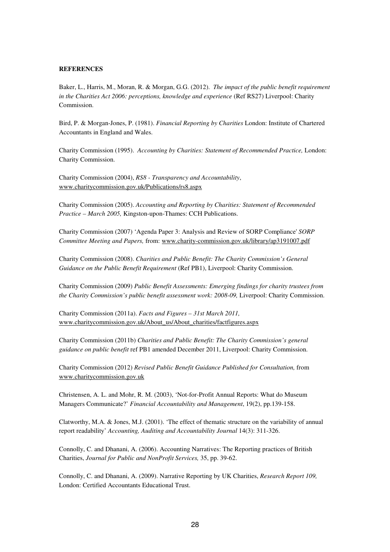#### **REFERENCES**

Baker, L., Harris, M., Moran, R. & Morgan, G.G. (2012). *The impact of the public benefit requirement in the Charities Act 2006: perceptions, knowledge and experience* (Ref RS27) Liverpool: Charity Commission.

Bird, P. & Morgan-Jones, P. (1981). *Financial Reporting by Charities* London: Institute of Chartered Accountants in England and Wales.

Charity Commission (1995). *Accounting by Charities: Statement of Recommended Practice,* London: Charity Commission.

Charity Commission (2004), *RS8 - Transparency and Accountability*, www.charitycommission.gov.uk/Publications/rs8.aspx

Charity Commission (2005). *Accounting and Reporting by Charities: Statement of Recommended Practice – March 2005,* Kingston-upon-Thames: CCH Publications.

Charity Commission (2007) 'Agenda Paper 3: Analysis and Review of SORP Compliance' *SORP Committee Meeting and Papers,* from: www.charity-commission.gov.uk/library/ap3191007.pdf

Charity Commission (2008). *Charities and Public Benefit: The Charity Commission's General Guidance on the Public Benefit Requirement* (Ref PB1), Liverpool: Charity Commission.

Charity Commission (2009) *Public Benefit Assessments: Emerging findings for charity trustees from the Charity Commission's public benefit assessment work: 2008-09, Liverpool: Charity Commission.* 

Charity Commission (2011a). *Facts and Figures – 31st March 2011,* www.charitycommission.gov.uk/About\_us/About\_charities/factfigures.aspx

Charity Commission (2011b) *Charities and Public Benefit: The Charity Commission's general guidance on public benefit* ref PB1 amended December 2011, Liverpool: Charity Commission.

Charity Commission (2012) *Revised Public Benefit Guidance Published for Consultation,* from www.charitycommission.gov.uk

Christensen, A. L. and Mohr, R. M. (2003), 'Not-for-Profit Annual Reports: What do Museum Managers Communicate?' *Financial Accountability and Management*, 19(2), pp.139-158.

Clatworthy, M.A. & Jones, M.J. (2001). 'The effect of thematic structure on the variability of annual report readability' *Accounting, Auditing and Accountability Journal* 14(3): 311-326.

Connolly, C. and Dhanani, A. (2006). Accounting Narratives: The Reporting practices of British Charities, *Journal for Public and NonProfit Services,* 35, pp. 39-62.

Connolly, C. and Dhanani, A. (2009). Narrative Reporting by UK Charities, *Research Report 109,* London: Certified Accountants Educational Trust.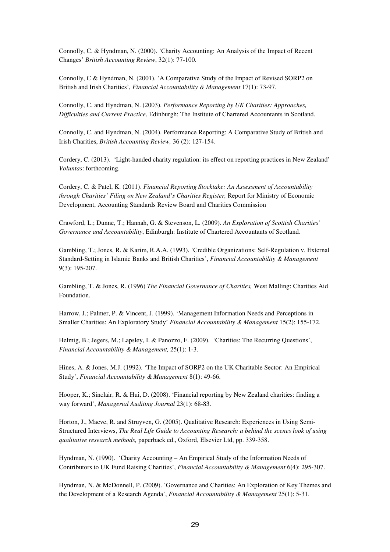Connolly, C. & Hyndman, N. (2000). 'Charity Accounting: An Analysis of the Impact of Recent Changes' *British Accounting Review*, 32(1): 77-100.

Connolly, C & Hyndman, N. (2001). 'A Comparative Study of the Impact of Revised SORP2 on British and Irish Charities', *Financial Accountability & Management* 17(1): 73-97.

Connolly, C. and Hyndman, N. (2003). *Performance Reporting by UK Charities: Approaches, Difficulties and Current Practice*, Edinburgh: The Institute of Chartered Accountants in Scotland.

Connolly, C. and Hyndman, N. (2004). Performance Reporting: A Comparative Study of British and Irish Charities, *British Accounting Review,* 36 (2): 127-154.

Cordery, C. (2013). 'Light-handed charity regulation: its effect on reporting practices in New Zealand' *Voluntas*: forthcoming.

Cordery, C. & Patel, K. (2011). *Financial Reporting Stocktake: An Assessment of Accountability through Charities' Filing on New Zealand's Charities Register,* Report for Ministry of Economic Development, Accounting Standards Review Board and Charities Commission

Crawford, L.; Dunne, T.; Hannah, G. & Stevenson, L. (2009). *An Exploration of Scottish Charities' Governance and Accountability*, Edinburgh: Institute of Chartered Accountants of Scotland.

Gambling, T.; Jones, R. & Karim, R.A.A. (1993). 'Credible Organizations: Self-Regulation v. External Standard-Setting in Islamic Banks and British Charities', *Financial Accountability & Management*  9(3): 195-207.

Gambling, T. & Jones, R. (1996) *The Financial Governance of Charities,* West Malling: Charities Aid Foundation.

Harrow, J.; Palmer, P. & Vincent, J. (1999). 'Management Information Needs and Perceptions in Smaller Charities: An Exploratory Study' *Financial Accountability & Management* 15(2): 155-172.

Helmig, B.; Jegers, M.; Lapsley, I. & Panozzo, F. (2009). 'Charities: The Recurring Questions', *Financial Accountability & Management,* 25(1): 1-3.

Hines, A. & Jones, M.J. (1992). 'The Impact of SORP2 on the UK Charitable Sector: An Empirical Study', *Financial Accountability & Management* 8(1): 49-66.

Hooper, K.; Sinclair, R. & Hui, D. (2008). 'Financial reporting by New Zealand charities: finding a way forward', *Managerial Auditing Journal* 23(1): 68-83.

Horton, J., Macve, R. and Struyven, G. (2005). Qualitative Research: Experiences in Using Semi-Structured Interviews, *The Real Life Guide to Accounting Research: a behind the scenes look of using qualitative research methods,* paperback ed., Oxford, Elsevier Ltd, pp. 339-358.

Hyndman, N. (1990). 'Charity Accounting – An Empirical Study of the Information Needs of Contributors to UK Fund Raising Charities', *Financial Accountability & Management* 6(4): 295-307.

Hyndman, N. & McDonnell, P. (2009). 'Governance and Charities: An Exploration of Key Themes and the Development of a Research Agenda', *Financial Accountability & Management* 25(1): 5-31.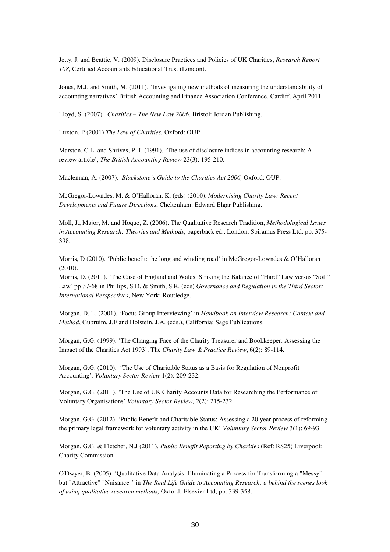Jetty, J. and Beattie, V. (2009). Disclosure Practices and Policies of UK Charities, *Research Report 108,* Certified Accountants Educational Trust (London).

Jones, M.J. and Smith, M. (2011). 'Investigating new methods of measuring the understandability of accounting narratives' British Accounting and Finance Association Conference, Cardiff, April 2011.

Lloyd, S. (2007). *Charities – The New Law 2006*, Bristol: Jordan Publishing.

Luxton, P (2001) *The Law of Charities,* Oxford: OUP.

Marston, C.L. and Shrives, P. J. (1991). 'The use of disclosure indices in accounting research: A review article', *The British Accounting Review* 23(3): 195-210.

Maclennan, A. (2007). *Blackstone's Guide to the Charities Act 2006,* Oxford: OUP.

McGregor-Lowndes, M. & O'Halloran, K. (eds) (2010). *Modernising Charity Law: Recent Developments and Future Directions*, Cheltenham: Edward Elgar Publishing.

Moll, J., Major, M. and Hoque, Z. (2006). The Qualitative Research Tradition, *Methodological Issues in Accounting Research: Theories and Methods*, paperback ed., London, Spiramus Press Ltd. pp. 375- 398.

Morris, D (2010). 'Public benefit: the long and winding road' in McGregor-Lowndes & O'Halloran (2010).

Morris, D. (2011). 'The Case of England and Wales: Striking the Balance of "Hard" Law versus "Soft" Law' pp 37-68 in Phillips, S.D. & Smith, S.R. (eds) *Governance and Regulation in the Third Sector: International Perspectives*, New York: Routledge.

Morgan, D. L. (2001). 'Focus Group Interviewing' in *Handbook on Interview Research: Context and Method*, Gubruim, J.F and Holstein, J.A. (eds.), California: Sage Publications.

Morgan, G.G. (1999). 'The Changing Face of the Charity Treasurer and Bookkeeper: Assessing the Impact of the Charities Act 1993', The *Charity Law & Practice Review*, 6(2): 89-114.

Morgan, G.G. (2010). 'The Use of Charitable Status as a Basis for Regulation of Nonprofit Accounting'*, Voluntary Sector Review* 1(2): 209-232.

Morgan, G.G. (2011). 'The Use of UK Charity Accounts Data for Researching the Performance of Voluntary Organisations' *Voluntary Sector Review,* 2(2): 215-232.

Morgan, G.G. (2012). 'Public Benefit and Charitable Status: Assessing a 20 year process of reforming the primary legal framework for voluntary activity in the UK' *Voluntary Sector Review* 3(1): 69-93.

Morgan, G.G. & Fletcher, N.J (2011). *Public Benefit Reporting by Charities* (Ref: RS25) Liverpool: Charity Commission.

O'Dwyer, B. (2005). 'Qualitative Data Analysis: Illuminating a Process for Transforming a "Messy" but "Attractive" "Nuisance"' in *The Real Life Guide to Accounting Research: a behind the scenes look of using qualitative research methods,* Oxford: Elsevier Ltd, pp. 339-358.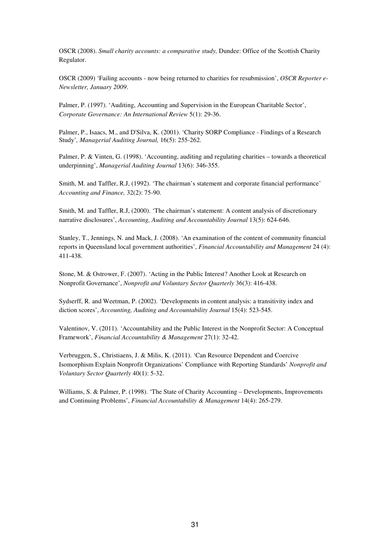OSCR (2008). *Small charity accounts: a comparative study,* Dundee: Office of the Scottish Charity Regulator.

OSCR (2009) 'Failing accounts - now being returned to charities for resubmission', *OSCR Reporter e-Newsletter, January 2009*.

Palmer, P. (1997). 'Auditing, Accounting and Supervision in the European Charitable Sector', *Corporate Governance: An International Review* 5(1): 29-36.

Palmer, P., Isaacs, M., and D'Silva, K. (2001). 'Charity SORP Compliance - Findings of a Research Study'*, Managerial Auditing Journal,* 16(5): 255-262.

Palmer, P. & Vinten, G. (1998). 'Accounting, auditing and regulating charities – towards a theoretical underpinning', *Managerial Auditing Journal* 13(6): 346-355.

Smith, M. and Taffler, R.J, (1992). 'The chairman's statement and corporate financial performance' *Accounting and Finance,* 32(2): 75-90.

Smith, M. and Taffler, R.J, (2000). 'The chairman's statement: A content analysis of discretionary narrative disclosures', *Accounting, Auditing and Accountability Journal* 13(5): 624-646.

Stanley, T., Jennings, N. and Mack, J. (2008). 'An examination of the content of community financial reports in Queensland local government authorities', *Financial Accountability and Management* 24 (4): 411-438.

Stone, M. & Ostrower, F. (2007). 'Acting in the Public Interest? Another Look at Research on Nonprofit Governance', *Nonprofit and Voluntary Sector Quarterly* 36(3): 416-438.

Sydserff, R. and Weetman, P. (2002). 'Developments in content analysis: a transitivity index and diction scores', *Accounting, Auditing and Accountability Journal* 15(4): 523-545.

Valentinov, V. (2011). 'Accountability and the Public Interest in the Nonprofit Sector: A Conceptual Framework', *Financial Accountability & Management* 27(1): 32-42.

Verbruggen, S., Christiaens, J. & Milis, K. (2011). 'Can Resource Dependent and Coercive Isomorphism Explain Nonprofit Organizations' Compliance with Reporting Standards' *Nonprofit and Voluntary Sector Quarterly* 40(1): 5-32.

Williams, S. & Palmer, P. (1998). 'The State of Charity Accounting – Developments, Improvements and Continuing Problems', *Financial Accountability & Management* 14(4): 265-279.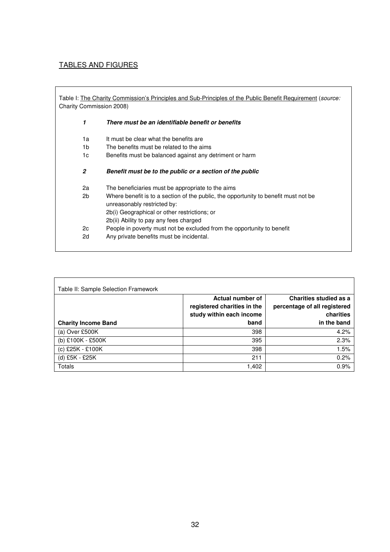# TABLES AND FIGURES

| Table I: The Charity Commission's Principles and Sub-Principles of the Public Benefit Requirement (source:<br><b>Charity Commission 2008)</b> |                                                                                                                    |  |  |  |
|-----------------------------------------------------------------------------------------------------------------------------------------------|--------------------------------------------------------------------------------------------------------------------|--|--|--|
| 1                                                                                                                                             | There must be an identifiable benefit or benefits                                                                  |  |  |  |
| 1a                                                                                                                                            | It must be clear what the benefits are                                                                             |  |  |  |
| 1b                                                                                                                                            | The benefits must be related to the aims                                                                           |  |  |  |
| 1c                                                                                                                                            | Benefits must be balanced against any detriment or harm                                                            |  |  |  |
| $\boldsymbol{2}$                                                                                                                              | Benefit must be to the public or a section of the public                                                           |  |  |  |
| 2a                                                                                                                                            | The beneficiaries must be appropriate to the aims                                                                  |  |  |  |
| 2b                                                                                                                                            | Where benefit is to a section of the public, the opportunity to benefit must not be<br>unreasonably restricted by: |  |  |  |
|                                                                                                                                               | 2b(i) Geographical or other restrictions; or                                                                       |  |  |  |
|                                                                                                                                               | 2b(ii) Ability to pay any fees charged                                                                             |  |  |  |
| 2c                                                                                                                                            | People in poverty must not be excluded from the opportunity to benefit                                             |  |  |  |
| 2d                                                                                                                                            | Any private benefits must be incidental.                                                                           |  |  |  |
|                                                                                                                                               |                                                                                                                    |  |  |  |

٦

| Table II: Sample Selection Framework |                                                                             |                                                                     |  |  |  |
|--------------------------------------|-----------------------------------------------------------------------------|---------------------------------------------------------------------|--|--|--|
|                                      | Actual number of<br>registered charities in the<br>study within each income | Charities studied as a<br>percentage of all registered<br>charities |  |  |  |
| <b>Charity Income Band</b>           | band                                                                        | in the band                                                         |  |  |  |
| (a) Over £500K                       | 398                                                                         | 4.2%                                                                |  |  |  |
| (b) £100K - £500K                    | 395                                                                         | 2.3%                                                                |  |  |  |
| (c) £25K - £100K                     | 398                                                                         | 1.5%                                                                |  |  |  |
| (d) £5K - £25K                       | 211                                                                         | 0.2%                                                                |  |  |  |
| Totals                               | 1,402                                                                       | 0.9%                                                                |  |  |  |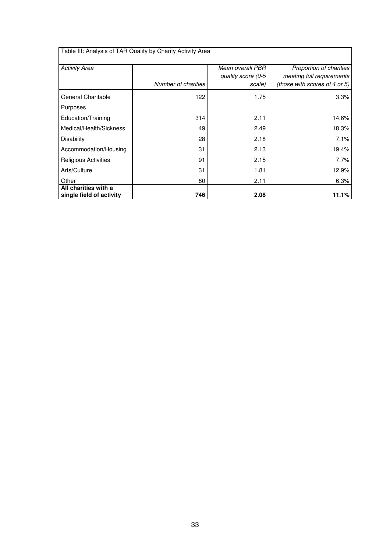| Table III: Analysis of TAR Quality by Charity Activity Area |                     |                    |                               |  |  |  |
|-------------------------------------------------------------|---------------------|--------------------|-------------------------------|--|--|--|
| <b>Activity Area</b>                                        |                     | Mean overall PBR   | Proportion of charities       |  |  |  |
|                                                             |                     | quality score (0-5 | meeting full requirements     |  |  |  |
|                                                             | Number of charities | scale)             | (those with scores of 4 or 5) |  |  |  |
| General Charitable                                          | 122                 | 1.75               | 3.3%                          |  |  |  |
| Purposes                                                    |                     |                    |                               |  |  |  |
| Education/Training                                          | 314                 | 2.11               | 14.6%                         |  |  |  |
| Medical/Health/Sickness                                     | 49                  | 2.49               | 18.3%                         |  |  |  |
| <b>Disability</b>                                           | 28                  | 2.18               | 7.1%                          |  |  |  |
| Accommodation/Housing                                       | 31                  | 2.13               | 19.4%                         |  |  |  |
| <b>Religious Activities</b>                                 | 91                  | 2.15               | 7.7%                          |  |  |  |
| Arts/Culture                                                | 31                  | 1.81               | 12.9%                         |  |  |  |
| Other                                                       | 80                  | 2.11               | 6.3%                          |  |  |  |
| All charities with a<br>single field of activity            | 746                 | 2.08               | 11.1%                         |  |  |  |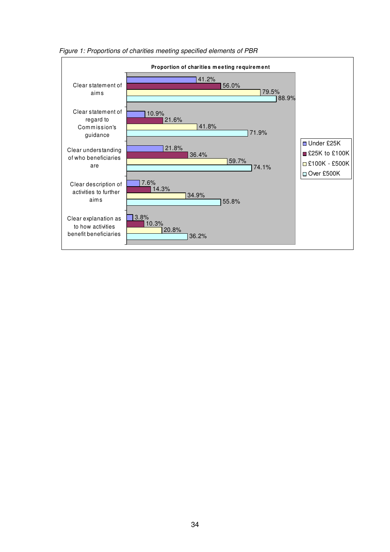

Figure 1: Proportions of charities meeting specified elements of PBR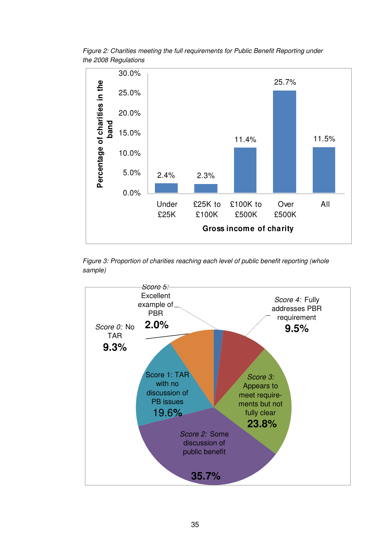30.0% **Percentage of charities in the**  25.7% Percentage of charities in the 25.0% 20.0% **band** 15.0% 11.5% 11.4% 10.0% 5.0% 2.4% 2.3% 0.0% Under £25K to £100K to Over All £25K £100K £500K £500K **Gross income of charity**

Figure 2: Charities meeting the full requirements for Public Benefit Reporting under the 2008 Regulations



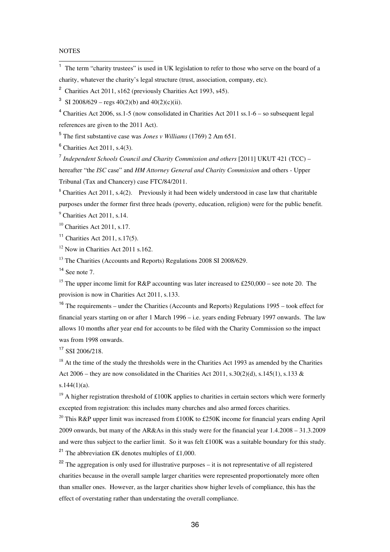# **NOTES**

<sup>1</sup> The term "charity trustees" is used in UK legislation to refer to those who serve on the board of a charity, whatever the charity's legal structure (trust, association, company, etc).

<sup>2</sup> Charities Act 2011, s162 (previously Charities Act 1993, s45).

<sup>3</sup> SI 2008/629 – regs 40(2)(b) and 40(2)(c)(ii).

<sup>4</sup> Charities Act 2006, ss.1-5 (now consolidated in Charities Act 2011 ss.1-6 – so subsequent legal references are given to the 2011 Act).

5 The first substantive case was *Jones v Williams* (1769) 2 Am 651.

 $6$  Charities Act 2011, s.4(3).

7 *Independent Schools Council and Charity Commission and others* [2011] UKUT 421 (TCC) – hereafter "the *ISC* case" and *HM Attorney General and Charity Commission* and others - Upper Tribunal (Tax and Chancery) case FTC/84/2011.

<sup>8</sup> Charities Act 2011, s.4(2). Previously it had been widely understood in case law that charitable purposes under the former first three heads (poverty, education, religion) were for the public benefit. <sup>9</sup> Charities Act 2011, s.14.

 $10$  Charities Act 2011, s.17.

<sup>11</sup> Charities Act 2011, s.17(5).

 $12$  Now in Charities Act 2011 s.162.

<sup>13</sup> The Charities (Accounts and Reports) Regulations 2008 SI 2008/629.

 $14$  See note 7.

<sup>15</sup> The upper income limit for R&P accounting was later increased to £250,000 – see note 20. The provision is now in Charities Act 2011, s.133.

<sup>16</sup> The requirements – under the Charities (Accounts and Reports) Regulations 1995 – took effect for financial years starting on or after 1 March 1996 – i.e. years ending February 1997 onwards. The law allows 10 months after year end for accounts to be filed with the Charity Commission so the impact was from 1998 onwards.

<sup>17</sup> SSI 2006/218.

 $18$  At the time of the study the thresholds were in the Charities Act 1993 as amended by the Charities Act 2006 – they are now consolidated in the Charities Act 2011, s.30(2)(d), s.145(1), s.133  $\&$ s.144 $(1)(a)$ .

<sup>19</sup> A higher registration threshold of £100K applies to charities in certain sectors which were formerly excepted from registration: this includes many churches and also armed forces charities.

<sup>20</sup> This R&P upper limit was increased from £100K to £250K income for financial years ending April 2009 onwards, but many of the AR&As in this study were for the financial year 1.4.2008 – 31.3.2009 and were thus subject to the earlier limit. So it was felt £100K was a suitable boundary for this study. <sup>21</sup> The abbreviation £K denotes multiples of £1,000.

 $22$  The aggregation is only used for illustrative purposes – it is not representative of all registered charities because in the overall sample larger charities were represented proportionately more often than smaller ones. However, as the larger charities show higher levels of compliance, this has the effect of overstating rather than understating the overall compliance.